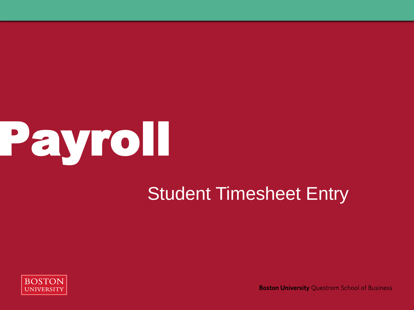

#### Student Timesheet Entry



**Boston University Questrom School of Business**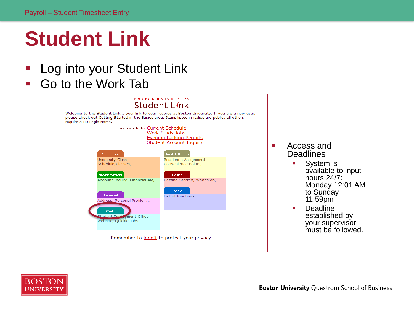# **Student Link**

- **-** Log into your Student Link
- Go to the Work Tab



- **Access and Deadlines** 
	- **System is** available to input hours 24/7: Monday 12:01 AM to Sunday 11:59pm
	- **•** Deadline established by your supervisor must be followed.

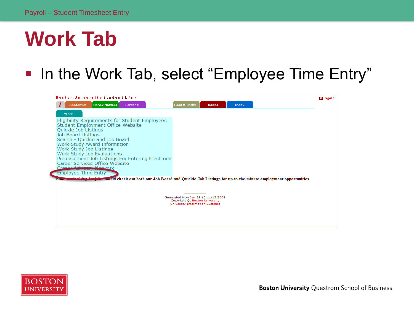#### **Work Tab**

#### **- In the Work Tab, select "Employee Time Entry"**





**Boston University Ouestrom School of Business**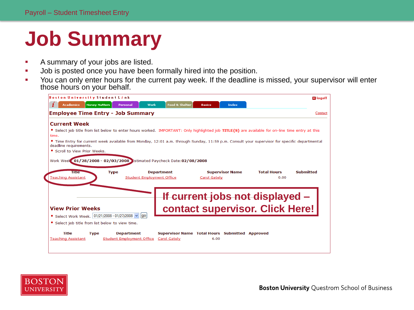# **Job Summary**

- A summary of your jobs are listed.
- Job is posted once you have been formally hired into the position.
- The You can only enter hours for the current pay week. If the deadline is missed, your supervisor will enter those hours on your behalf.



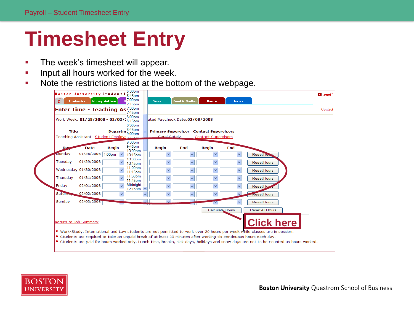# **Timesheet Entry**

- **The week's timesheet will appear.**
- **Input all hours worked for the week.**
- Note the restrictions listed at the bottom of the webpage.

|                       | Work Week: 01/28/2008 - 02/03/18:15pm     |                    | 7:45pm<br>8:00pm                        |        | ated Paycheck Date:02/08/2008 |                         |                                               |                 |                    |  |
|-----------------------|-------------------------------------------|--------------------|-----------------------------------------|--------|-------------------------------|-------------------------|-----------------------------------------------|-----------------|--------------------|--|
|                       |                                           |                    | 8:30pm                                  |        |                               |                         |                                               |                 |                    |  |
| <b>Title</b>          |                                           | Departm 8:45pm     |                                         |        |                               |                         | <b>Primary Supervisor Contact Supervisors</b> |                 |                    |  |
|                       | Teaching Assistant Student Employn 9-15pm |                    |                                         |        | Carol Gately                  |                         | <b>Contact Supervisors</b>                    |                 |                    |  |
| Da                    | <b>Date</b>                               | <b>Begin</b>       | 9:30 <sub>pm</sub><br>9:45pm<br>10:00pm |        | <b>Begin</b>                  | End                     | <b>Begin</b>                                  | End             |                    |  |
| Monday                | 01/28/2008                                | 1:00 <sub>pm</sub> | 10:15pm                                 |        | v                             | $\checkmark$            | $\checkmark$                                  | $\checkmark$    | <b>Reset Ho</b>    |  |
| Tuesdav               | 01/29/2008                                |                    | 10:30pm<br>10:45pm                      |        | $\checkmark$                  | $\checkmark$            | $\checkmark$                                  | $\checkmark$    | <b>Reset Hours</b> |  |
|                       | Wednesday 01/30/2008                      |                    | 11:00pm<br>11:15pm                      |        | Ÿ                             | $\overline{\mathbf{v}}$ | v                                             | $\checkmark$    | <b>Reset Hours</b> |  |
| Thursday              | 01/31/2008                                |                    | 11:30pm<br>11:45pm                      |        | v                             | v                       | v                                             | $\checkmark$    | <b>Reset Hours</b> |  |
| Friday                | 02/01/2008                                |                    | Midnight<br>12:15am $\vee$              |        | $\ddotmark$                   | $\checkmark$            | $\checkmark$                                  |                 | Reset Hou          |  |
| <b>Sature</b>         | 02/02/2008                                | $\ddotmark$        |                                         |        | $\checkmark$                  | $\checkmark$            | $\checkmark$                                  |                 | <b>Reset Hours</b> |  |
| Sunday                | 02/03/2008                                |                    |                                         | $\sim$ | $\overline{\mathbf{v}}$       | $\mathcal{L}$           |                                               |                 | Reset Hours        |  |
|                       |                                           |                    |                                         |        |                               |                         |                                               | Calculate Hours | Reset All Hours    |  |
| Return to Job Summary |                                           |                    |                                         |        |                               |                         |                                               |                 | <b>Click here</b>  |  |

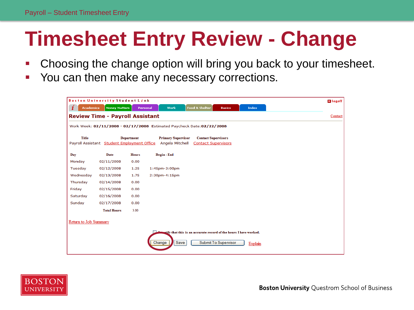# **Timesheet Entry Review - Change**

- Choosing the change option will bring you back to your timesheet.
- You can then make any necessary corrections.

|                       | <b>Review Time - Payroll Assistant</b>      |                   |                                                                        |                                                                              |                             |  | Contact |
|-----------------------|---------------------------------------------|-------------------|------------------------------------------------------------------------|------------------------------------------------------------------------------|-----------------------------|--|---------|
|                       |                                             |                   | Work Week: 02/11/2008 - 02/17/2008 Estimated Paycheck Date: 02/22/2008 |                                                                              |                             |  |         |
| <b>Title</b>          | Payroll Assistant Student Employment Office | <b>Department</b> | <b>Primary Supervisor</b><br>Angela Mitchell                           | <b>Contact Supervisors</b><br><b>Contact Supervisors</b>                     |                             |  |         |
| Day                   | Date                                        | <b>Hours</b>      | <b>Begin-End</b>                                                       |                                                                              |                             |  |         |
| Monday                | 02/11/2008                                  | 0.00              |                                                                        |                                                                              |                             |  |         |
| Tuesday               | 02/12/2008                                  | 1.25              | $1:45$ pm- $3:00$ pm                                                   |                                                                              |                             |  |         |
| Wednesday             | 02/13/2008                                  | 1.75              | $2:30$ pm-4:15pm                                                       |                                                                              |                             |  |         |
| Thursday              | 02/14/2008                                  | 0.00              |                                                                        |                                                                              |                             |  |         |
| Friday                | 02/15/2008                                  | 0.00              |                                                                        |                                                                              |                             |  |         |
| Saturday              | 02/16/2008                                  | 0.00              |                                                                        |                                                                              |                             |  |         |
| Sunday                | 02/17/2008                                  | 0.00              |                                                                        |                                                                              |                             |  |         |
|                       | <b>Total Hours</b>                          | 3.00              |                                                                        |                                                                              |                             |  |         |
| Return to Job Summary |                                             |                   |                                                                        |                                                                              |                             |  |         |
|                       |                                             |                   |                                                                        | <b>Insertify</b> that this is an accurate record of the hours I have worked. |                             |  |         |
|                       |                                             |                   | Save<br>Change                                                         |                                                                              | <b>Submit To Supervisor</b> |  |         |

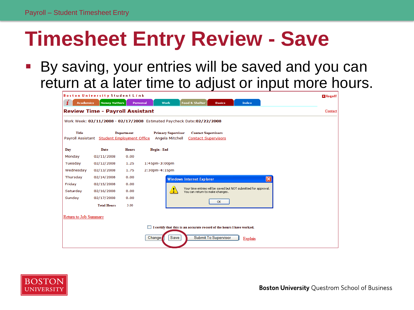## **Timesheet Entry Review - Save**

 By saving, your entries will be saved and you can return at a later time to adjust or input more hours.



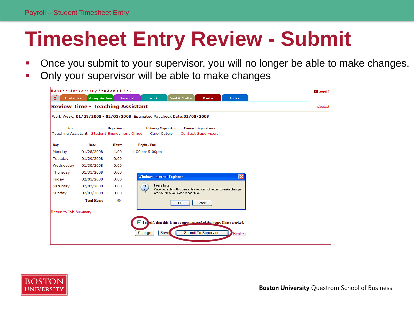# **Timesheet Entry Review - Submit**

- Once you submit to your supervisor, you will no longer be able to make changes.
- Only your supervisor will be able to make changes